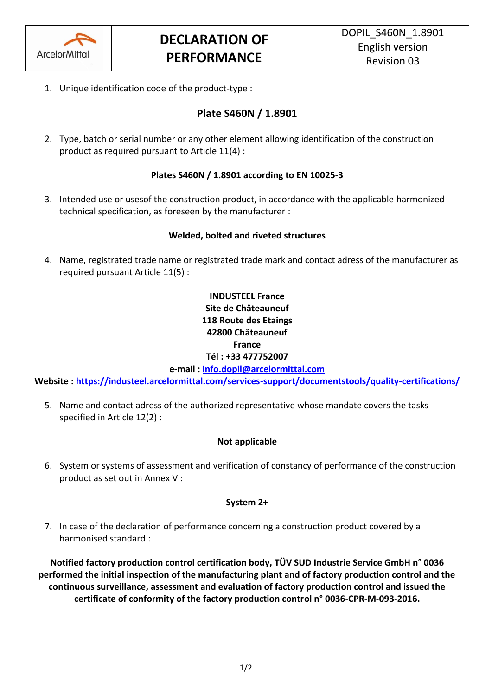

1. Unique identification code of the product-type :

# **Plate S460N / 1.8901**

2. Type, batch or serial number or any other element allowing identification of the construction product as required pursuant to Article 11(4) :

# **Plates S460N / 1.8901 according to EN 10025-3**

3. Intended use or usesof the construction product, in accordance with the applicable harmonized technical specification, as foreseen by the manufacturer :

# **Welded, bolted and riveted structures**

4. Name, registrated trade name or registrated trade mark and contact adress of the manufacturer as required pursuant Article 11(5) :

# **INDUSTEEL France Site de Châteauneuf 118 Route des Etaings 42800 Châteauneuf France Tél : +33 477752007**

**e-mail : [info.dopil@arcelormittal.com](mailto:info.dopil@arcelormittal.com)**

**Website :<https://industeel.arcelormittal.com/services-support/documentstools/quality-certifications/>**

5. Name and contact adress of the authorized representative whose mandate covers the tasks specified in Article 12(2) :

# **Not applicable**

6. System or systems of assessment and verification of constancy of performance of the construction product as set out in Annex V :

### **System 2+**

7. In case of the declaration of performance concerning a construction product covered by a harmonised standard :

**Notified factory production control certification body, TÜV SUD Industrie Service GmbH n° 0036 performed the initial inspection of the manufacturing plant and of factory production control and the continuous surveillance, assessment and evaluation of factory production control and issued the certificate of conformity of the factory production control n° 0036-CPR-M-093-2016.**